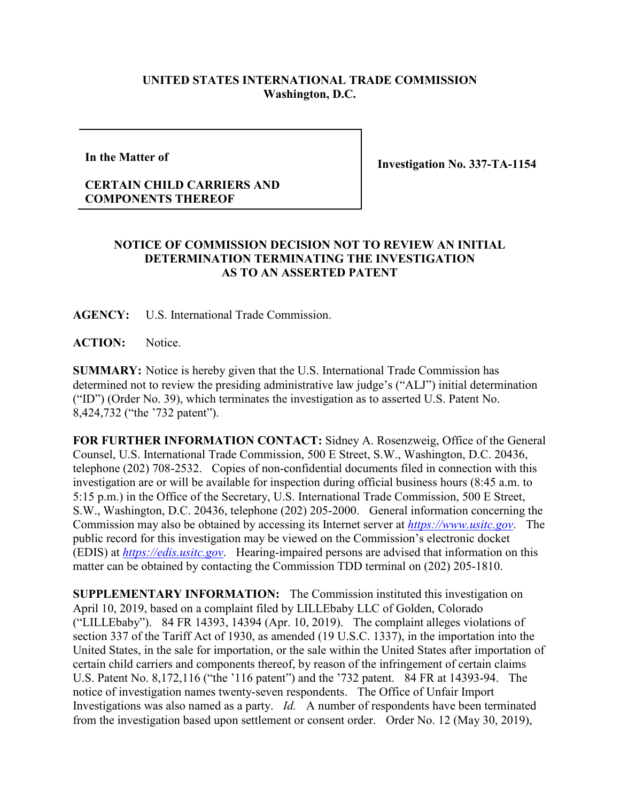## **UNITED STATES INTERNATIONAL TRADE COMMISSION Washington, D.C.**

**In the Matter of**

**Investigation No. 337-TA-1154**

## **CERTAIN CHILD CARRIERS AND COMPONENTS THEREOF**

## **NOTICE OF COMMISSION DECISION NOT TO REVIEW AN INITIAL DETERMINATION TERMINATING THE INVESTIGATION AS TO AN ASSERTED PATENT**

**AGENCY:** U.S. International Trade Commission.

ACTION: Notice.

**SUMMARY:** Notice is hereby given that the U.S. International Trade Commission has determined not to review the presiding administrative law judge's ("ALJ") initial determination ("ID") (Order No. 39), which terminates the investigation as to asserted U.S. Patent No. 8,424,732 ("the '732 patent").

**FOR FURTHER INFORMATION CONTACT:** Sidney A. Rosenzweig, Office of the General Counsel, U.S. International Trade Commission, 500 E Street, S.W., Washington, D.C. 20436, telephone (202) 708-2532. Copies of non-confidential documents filed in connection with this investigation are or will be available for inspection during official business hours (8:45 a.m. to 5:15 p.m.) in the Office of the Secretary, U.S. International Trade Commission, 500 E Street, S.W., Washington, D.C. 20436, telephone (202) 205-2000. General information concerning the Commission may also be obtained by accessing its Internet server at *[https://www.usitc.gov](https://www.usitc.gov/)*. The public record for this investigation may be viewed on the Commission's electronic docket (EDIS) at *[https://edis.usitc.gov](https://edis.usitc.gov/)*. Hearing-impaired persons are advised that information on this matter can be obtained by contacting the Commission TDD terminal on (202) 205-1810.

**SUPPLEMENTARY INFORMATION:** The Commission instituted this investigation on April 10, 2019, based on a complaint filed by LILLEbaby LLC of Golden, Colorado ("LILLEbaby"). 84 FR 14393, 14394 (Apr. 10, 2019). The complaint alleges violations of section 337 of the Tariff Act of 1930, as amended (19 U.S.C. 1337), in the importation into the United States, in the sale for importation, or the sale within the United States after importation of certain child carriers and components thereof, by reason of the infringement of certain claims U.S. Patent No. 8,172,116 ("the '116 patent") and the '732 patent. 84 FR at 14393-94. The notice of investigation names twenty-seven respondents. The Office of Unfair Import Investigations was also named as a party. *Id.* A number of respondents have been terminated from the investigation based upon settlement or consent order. Order No. 12 (May 30, 2019),